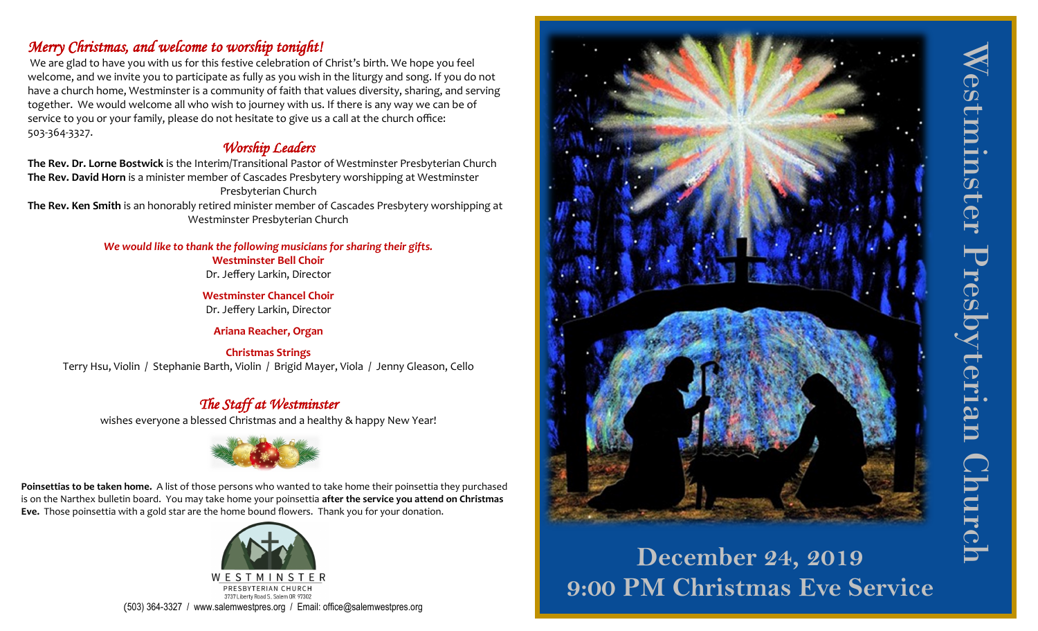# *Merry Christmas, and welcome to worship tonight!*

We are glad to have you with us for this festive celebration of Christ's birth. We hope you feel welcome, and we invite you to participate as fully as you wish in the liturgy and song. If you do not have a church home, Westminster is a community of faith that values diversity, sharing, and serving together. We would welcome all who wish to journey with us. If there is any way we can be of service to you or your family, please do not hesitate to give us a call at the church office: 503-364-3327.

# *Worship Leaders*

**The Rev. Dr. Lorne Bostwick** is the Interim/Transitional Pastor of Westminster Presbyterian Church **The Rev. David Horn** is a minister member of Cascades Presbytery worshipping at Westminster Presbyterian Church

**The Rev. Ken Smith** is an honorably retired minister member of Cascades Presbytery worshipping at Westminster Presbyterian Church

## *We would like to thank the following musicians for sharing their gifts.*

**Westminster Bell Choir** Dr. Jeffery Larkin, Director

**Westminster Chancel Choir** Dr. Jeffery Larkin, Director

**Ariana Reacher, Organ**

## **Christmas Strings**

Terry Hsu, Violin / Stephanie Barth, Violin / Brigid Mayer, Viola / Jenny Gleason, Cello

# *The Staff at Westminster*

wishes everyone a blessed Christmas and a healthy & happy New Year!



**Poinsettias to be taken home.** A list of those persons who wanted to take home their poinsettia they purchased is on the Narthex bulletin board. You may take home your poinsettia **after the service you attend on Christmas Eve.** Those poinsettia with a gold star are the home bound flowers. Thank you for your donation.





# **December 24, 2019 9:00 PM Christmas Eve Service**